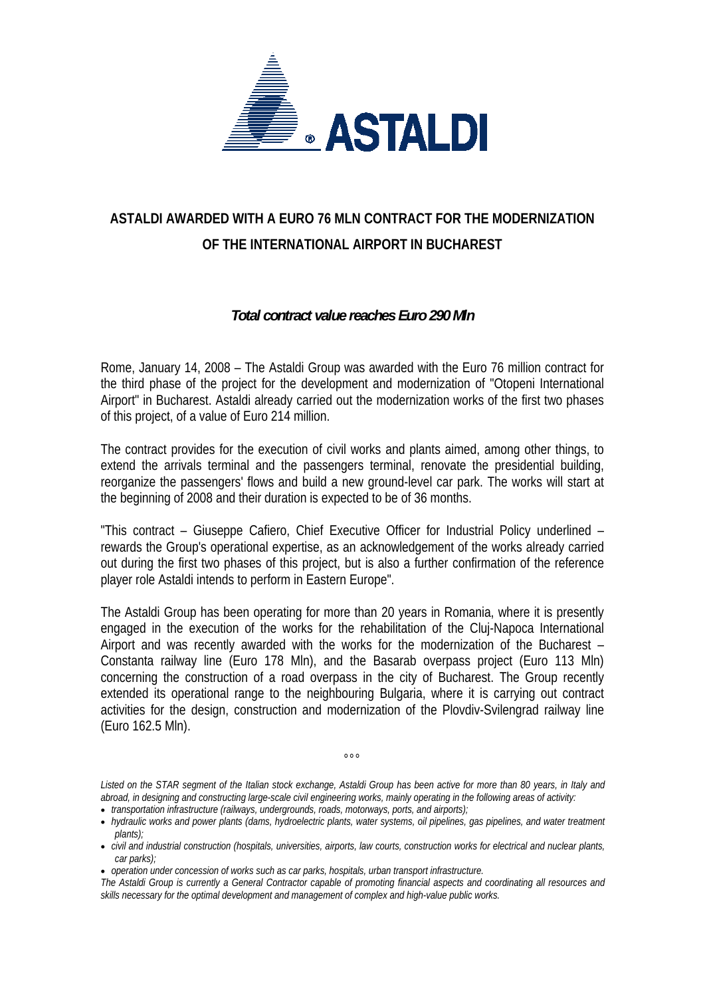

## **ASTALDI AWARDED WITH A EURO 76 MLN CONTRACT FOR THE MODERNIZATION OF THE INTERNATIONAL AIRPORT IN BUCHAREST**

## *Total contract value reaches Euro 290 Mln*

Rome, January 14, 2008 – The Astaldi Group was awarded with the Euro 76 million contract for the third phase of the project for the development and modernization of "Otopeni International Airport" in Bucharest. Astaldi already carried out the modernization works of the first two phases of this project, of a value of Euro 214 million.

The contract provides for the execution of civil works and plants aimed, among other things, to extend the arrivals terminal and the passengers terminal, renovate the presidential building, reorganize the passengers' flows and build a new ground-level car park. The works will start at the beginning of 2008 and their duration is expected to be of 36 months.

"This contract – Giuseppe Cafiero, Chief Executive Officer for Industrial Policy underlined – rewards the Group's operational expertise, as an acknowledgement of the works already carried out during the first two phases of this project, but is also a further confirmation of the reference player role Astaldi intends to perform in Eastern Europe".

The Astaldi Group has been operating for more than 20 years in Romania, where it is presently engaged in the execution of the works for the rehabilitation of the Cluj-Napoca International Airport and was recently awarded with the works for the modernization of the Bucharest – Constanta railway line (Euro 178 Mln), and the Basarab overpass project (Euro 113 Mln) concerning the construction of a road overpass in the city of Bucharest. The Group recently extended its operational range to the neighbouring Bulgaria, where it is carrying out contract activities for the design, construction and modernization of the Plovdiv-Svilengrad railway line (Euro 162.5 Mln).

*Listed on the STAR segment of the Italian stock exchange, Astaldi Group has been active for more than 80 years, in Italy and abroad, in designing and constructing large-scale civil engineering works, mainly operating in the following areas of activity:*

 $000$ 

• *transportation infrastructure (railways, undergrounds, roads, motorways, ports, and airports);* 

- *civil and industrial construction (hospitals, universities, airports, law courts, construction works for electrical and nuclear plants, car parks);*
- *operation under concession of works such as car parks, hospitals, urban transport infrastructure.*

*The Astaldi Group is currently a General Contractor capable of promoting financial aspects and coordinating all resources and skills necessary for the optimal development and management of complex and high-value public works.* 

<sup>•</sup> *hydraulic works and power plants (dams, hydroelectric plants, water systems, oil pipelines, gas pipelines, and water treatment plants);*